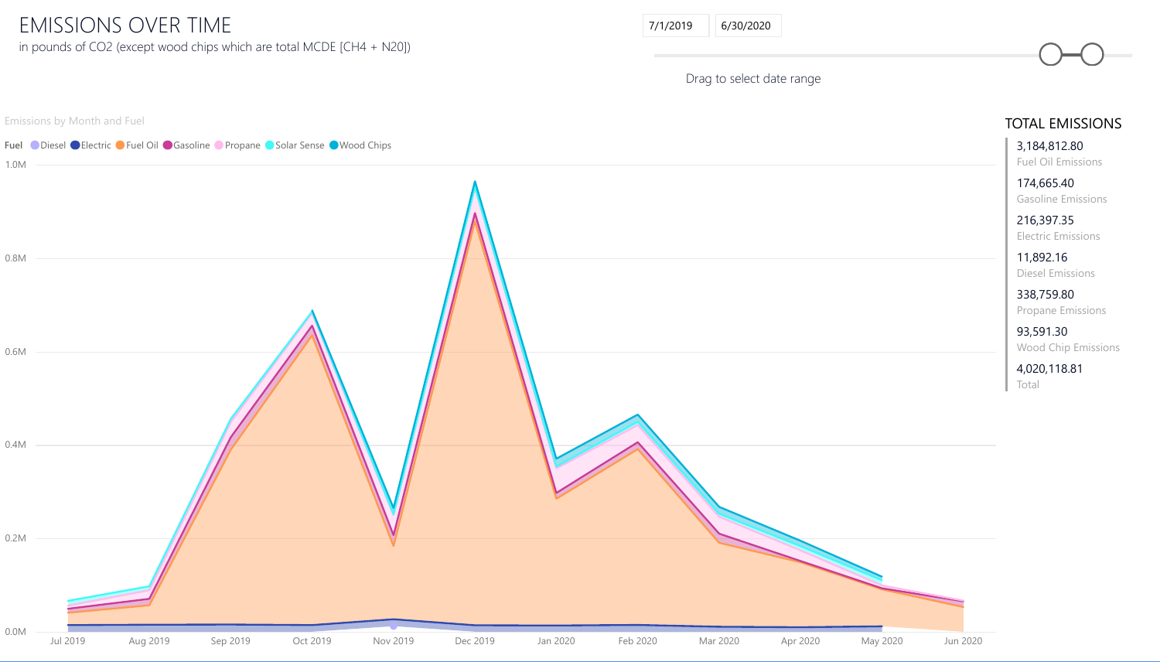Drag to select date range





## EMISSIONS OVER TIME in pounds of CO2 (except wood chips which are total MCDE [CH4 + N20])

| 7/1/2019 | 6/30/2020 |
|----------|-----------|
|          |           |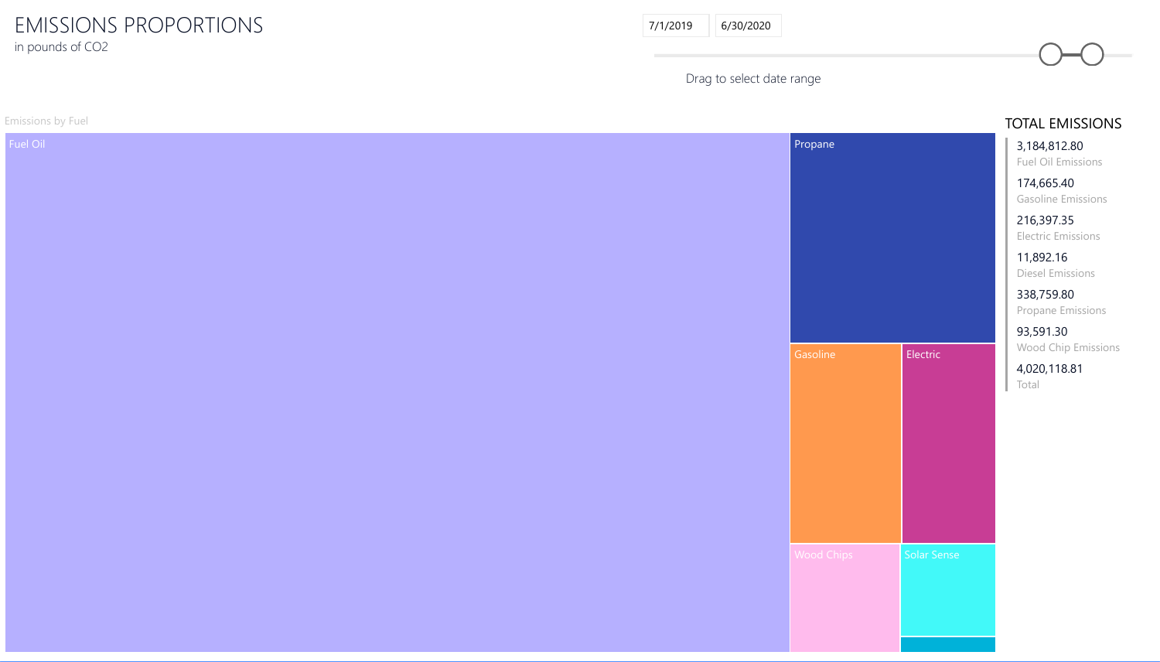Drag to select date range

6/30/2020

Emissions by Fuel

## EMISSIONS PROPORTIONS in pounds of CO2

### TOTAL EMISSIONS



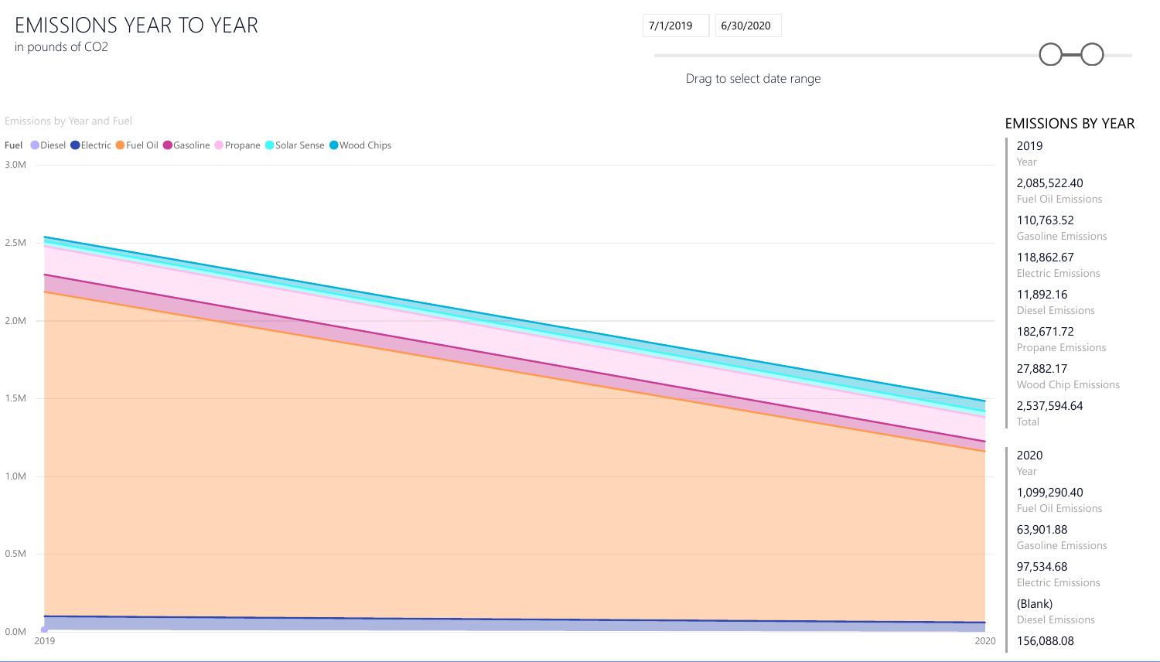Emissions by Year and Fuel



## EMISSIONS YEAR TO YEAR in pounds of CO2

**EAR**  $\n *ons*\n$ (Blank) Diesel Emissions

| 7/1/2019<br>6/30/2020     |                                           |
|---------------------------|-------------------------------------------|
| Drag to select date range |                                           |
|                           | <b>EMISSIONS BY Y</b>                     |
|                           | 2019<br>Year                              |
|                           | 2,085,522.40<br><b>Fuel Oil Emissions</b> |
|                           | 110,763.52<br><b>Gasoline Emissions</b>   |
|                           | 118,862.67<br><b>Electric Emissions</b>   |
|                           | 11,892.16<br><b>Diesel Emissions</b>      |
|                           | 182,671.72<br><b>Propane Emissions</b>    |
|                           | 27,882.17<br><b>Wood Chip Emission</b>    |
|                           | 2,537,594.64<br>Total                     |
|                           | 2020<br>Year                              |
|                           | 1,099,290.40<br><b>Fuel Oil Emissions</b> |
|                           | 63,901.88<br><b>Gasoline Emissions</b>    |
|                           | 97,534.68<br><b>Electric Emissions</b>    |

156,088.08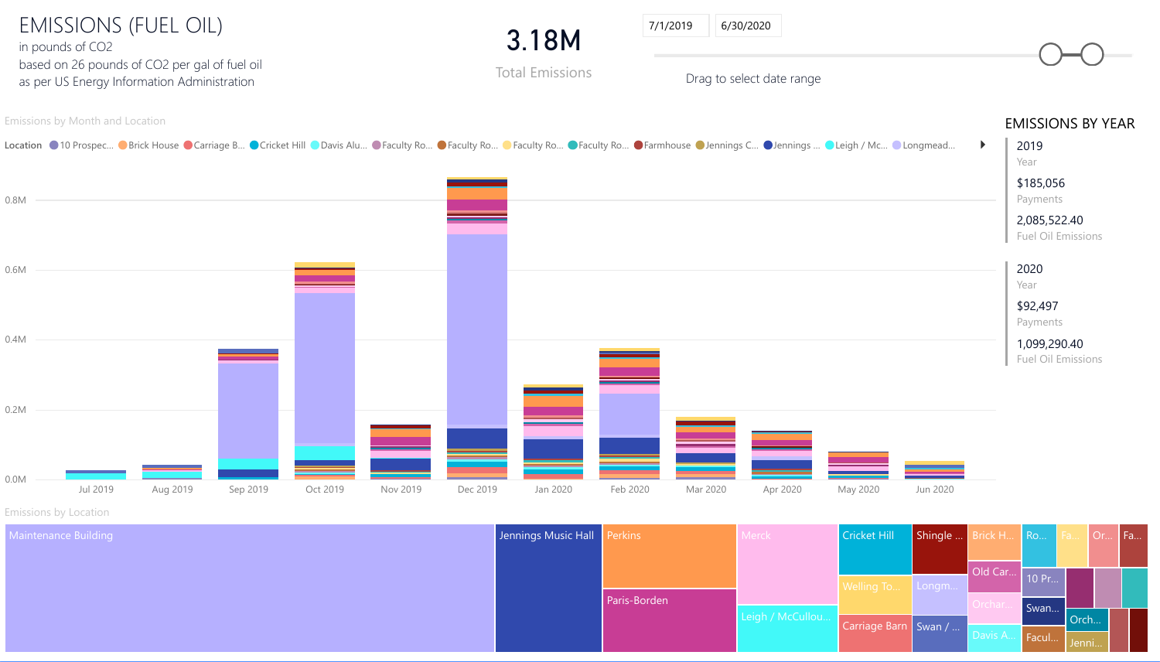

Emissions by Location

Maintenance Building **Jennings** Music Hall Perkins Music Hall Perkins Music Hall Perkins Music Hall Perkins Music H

| <b>Music Hall</b> | Perkins      | <b>Merck</b>     | <b>Cricket Hill</b>    | Shingle | Brick H | <b>Ro</b> | Fa  |
|-------------------|--------------|------------------|------------------------|---------|---------|-----------|-----|
|                   |              |                  |                        |         |         |           |     |
|                   |              |                  | Welling To             | Longm   | Old Car | 10 Pr     |     |
|                   | Paris-Borden | Leigh / McCullou |                        |         | Orchar  | Swan      |     |
|                   |              |                  | Carriage Barn   Swan / |         |         |           | Orc |
|                   |              |                  |                        |         | Davis A | Facul     | Jen |

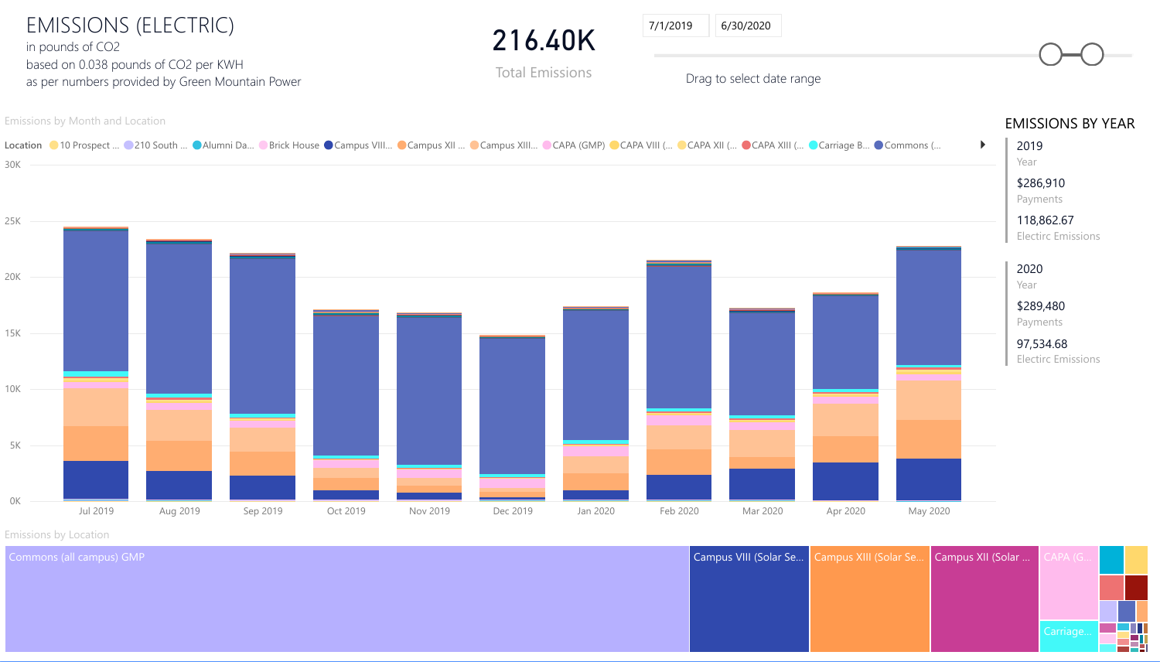

Emissions by Location

Commons (all campus) GMP

| Campus VIII (Solar Se   Campus XIII (Solar Se   Campus XII (Solar |  | CAPA (G  |
|-------------------------------------------------------------------|--|----------|
|                                                                   |  |          |
|                                                                   |  |          |
|                                                                   |  |          |
|                                                                   |  | Carriage |

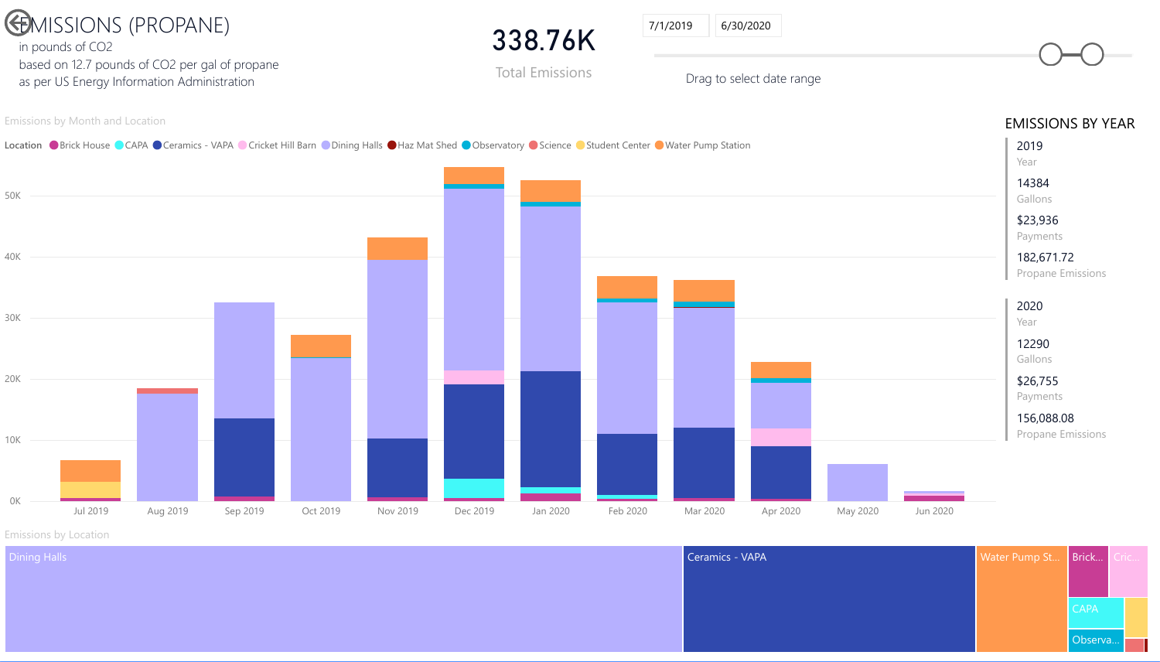



Emissions by Location





Observa…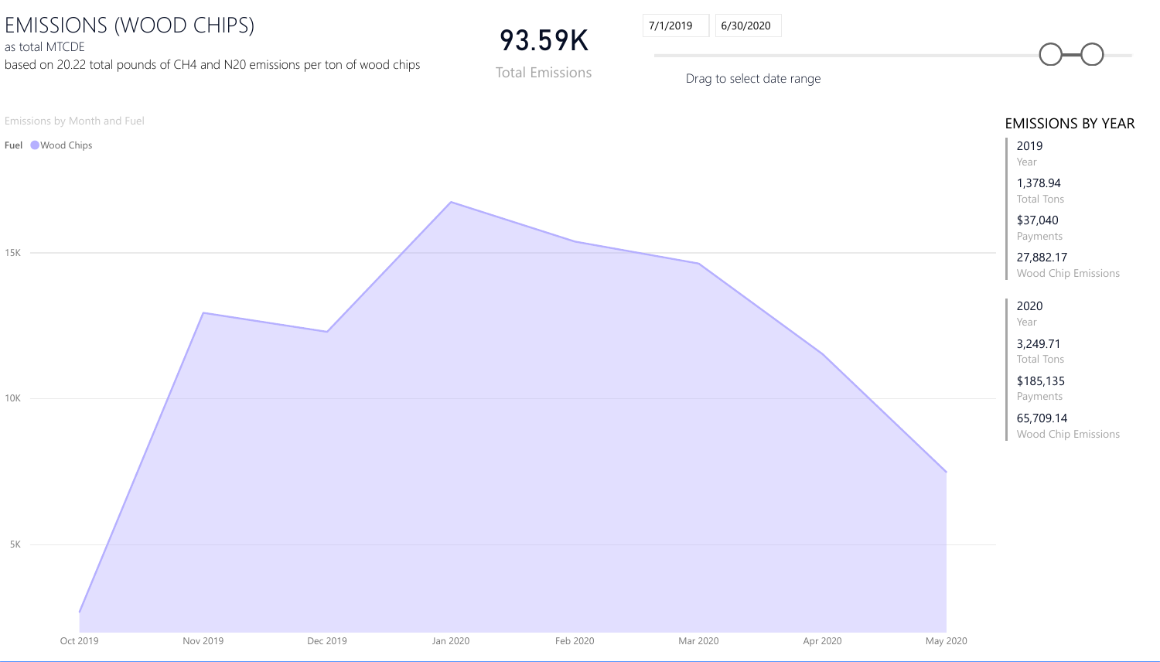Emissions by Month and Fuel

Fuel Wood Chips



# EMISSIONS (WOOD CHIPS)

as total MTCDE

based on 20.22 total pounds of CH4 and N20 emissions per ton of wood chips

| <b>CDE</b>                  | IONS (WOOD CHIPS)<br>20.22 total pounds of CH4 and N20 emissions per ton of wood chips |          | 93.59K<br><b>Total Emissions</b> | 7/1/2019<br>6/30/2020<br>Drag to select date range |          |          |                                                                                                  |
|-----------------------------|----------------------------------------------------------------------------------------|----------|----------------------------------|----------------------------------------------------|----------|----------|--------------------------------------------------------------------------------------------------|
| y Month and Fuel<br>d Chips |                                                                                        |          |                                  |                                                    |          |          | <b>EMISSIONS BY YEA</b><br>2019<br>Year<br>1,378.94<br><b>Total Tons</b><br>\$37,040<br>Payments |
|                             |                                                                                        |          |                                  |                                                    |          |          | 27,882.17<br>Wood Chip Emissions<br>2020<br>Year<br>3,249.71<br><b>Total Tons</b><br>\$185,135   |
|                             |                                                                                        |          |                                  |                                                    |          |          | Payments<br>65,709.14<br><b>Wood Chip Emissions</b>                                              |
| Oct 2019                    | <b>Nov 2019</b><br>Dec 2019                                                            | Jan 2020 | Feb 2020                         | Mar 2020                                           | Apr 2020 | May 2020 |                                                                                                  |

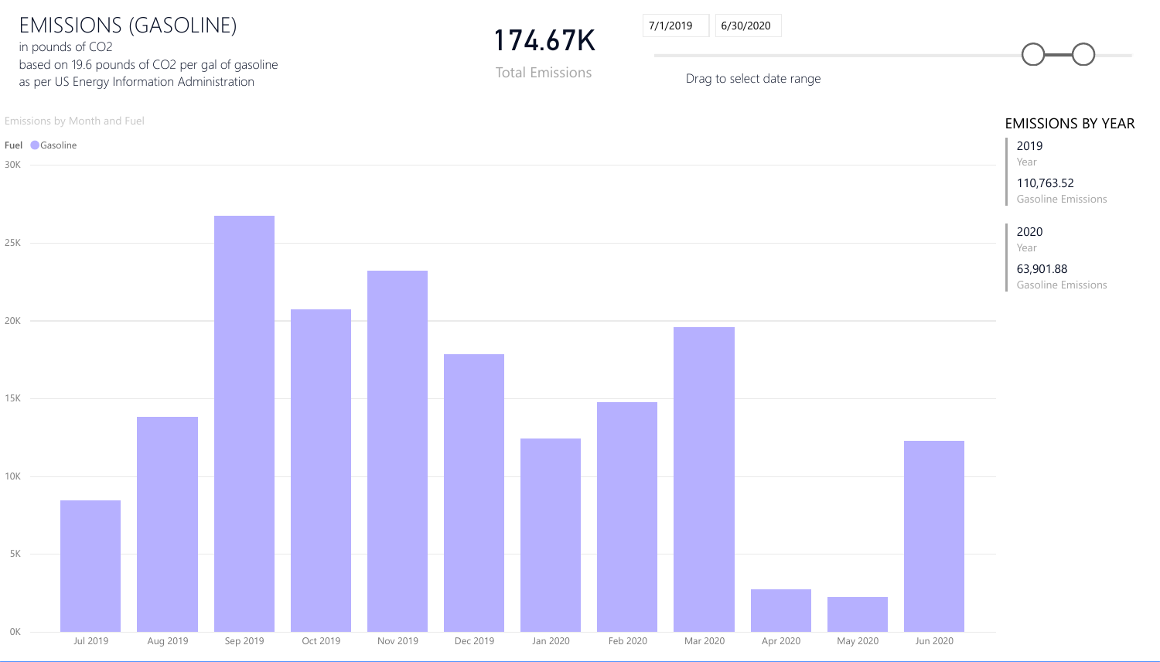#### Emissions by Month and Fuel



174. **Total Em** 

| .67K     | 7/1/2019<br>6/30/2020     |                                         |
|----------|---------------------------|-----------------------------------------|
| nissions | Drag to select date range |                                         |
|          |                           | <b>EMISSIONS BY Y</b>                   |
|          |                           | 2019<br>Year                            |
|          |                           | 110,763.52<br><b>Gasoline Emissions</b> |
|          |                           | 2020<br>Year                            |
|          |                           | 63,901.88                               |

BY YEAR

EMISSIONS (GASOLINE) in pounds of CO2 based on 19.6 pounds of CO2 per gal of gasoline as per US Energy Information Administration

Gasoline Emissions